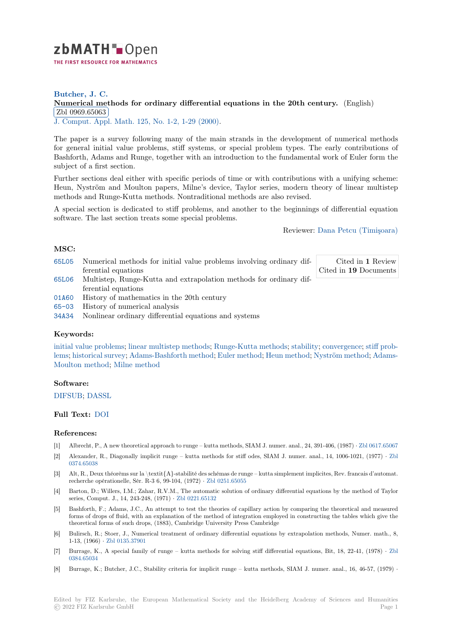

# **Butcher, J. C. [N](https://zbmath.org/)umerical methods for ordinary differential equations in the 20th century.** (English) Zbl 0969.65063

✂ ✁ J. Comput. Appl. Math. 125, No. 1-2, 1-29 (2000).

[The paper is a survey following many of the main strands in the development of n](https://zbmath.org/0969.65063)umerical methods [for general initial](https://zbmath.org/0969.65063) value problems, stiff systems, or special problem types. The early contributions of [Bashforth, Adams and R](https://zbmath.org/journals/?q=se:482)[unge, together with an in](https://zbmath.org/?q=in:72123)troduction to the fundamental work of Euler form the subject of a first section.

Further sections deal either with specific periods of time or with contributions with a unifying scheme: Heun, Nyström and Moulton papers, Milne's device, Taylor series, modern theory of linear multistep methods and Runge-Kutta methods. Nontraditional methods are also revised.

A special section is dedicated to stiff problems, and another to the beginnings of differential equation software. The last section treats some special problems.

Reviewer: Dana Petcu (Timişoara)

## **MSC:**

65L05 Numerical methods for initial value problems involving ordinary differential equations

Cited in **1** Review Cited in **19** [Documents](https://zbmath.org/authors/?q=petcu.dana)

- 65L06 Multistep, Runge-Kutta and extrapolation methods for ordinary differential equations
- [01A60](https://zbmath.org/classification/?q=cc:65L05) History of mathematics in the 20th century
- 65-03 History of numerical analysis
- [34A34](https://zbmath.org/classification/?q=cc:65L06) Nonlinear ordinary differential equations and systems

### **[Keyw](https://zbmath.org/classification/?q=cc:01A60)ords:**

[initial](https://zbmath.org/classification/?q=cc:65-03) value problems; linear multistep methods; Runge-Kutta methods; stability; convergence; stiff prob[lems;](https://zbmath.org/classification/?q=cc:34A34) historical survey; Adams-Bashforth method; Euler method; Heun method; Nyström method; Adams-Moulton method; Milne method

### **[Software:](https://zbmath.org/?q=ut:initial+value+problems)**

[DIF](https://zbmath.org/?q=ut:stiff+problems)[SUB;](https://zbmath.org/?q=ut:Adams-Moulton+method) [DASSL](https://zbmath.org/?q=ut:historical+survey)

#### **Full Text:** DOI

#### **[Referen](https://swmath.org/software/4370)c[es:](https://swmath.org/software/3174)**

- [1] Albrecht, P., A new theoretical approach to runge kutta methods, SIAM J. numer. anal., 24, 391-406, (1987) *·* Zbl 0617.65067
- [2] Alexande[r, R.,](https://dx.doi.org/10.1016/S0377-0427(00)00455-6) Diagonally implicit runge kutta methods for stiff odes, SIAM J. numer. anal., 14, 1006-1021, (1977) *·* Zbl 0374.65038
- [3] Alt, R., Deux théorèms sur la \textit{A}-stabilité des schémas de runge kutta simplement implicites, Rev. francais d'automat. recherche opérationelle, Sér. R-3 6, 99-104, (1972) *·* Zbl 0251.65055
- [4] Barton, D.; Willers, I.M.; Zahar, R.V.M., The automatic solution of ordinary differential equations by the method of Ta[ylor](https://zbmath.org/0374.65038) [series, Com](https://zbmath.org/0374.65038)put. J., 14, 243-248, (1971) *·* Zbl 0221.65132
- [5] Bashforth, F.; Adams, J.C., An attempt to test the theories of capillary action by comparing the theoretical and measured forms of drops of fluid, with an explanation of the [method of integr](https://zbmath.org/0251.65055)ation employed in constructing the tables which give the theoretical forms of such drops, (1883), Cambridge University Press Cambridge
- [6] Bulirsch, R.; Stoer, J., Numerical treat[ment of ordinary](https://zbmath.org/0221.65132) differential equations by extrapolation methods, Numer. math., 8, 1-13, (1966) *·* Zbl 0135.37901
- [7] Burrage, K., A special family of runge kutta methods for solving stiff differential equations, Bit, 18, 22-41, (1978) *·* Zbl 0384.65034
- [8] Burrage, K.; Butcher, J.C., Stability criteria for implicit runge kutta methods, SIAM J. numer. anal., 16, 46-57, (1979) *·*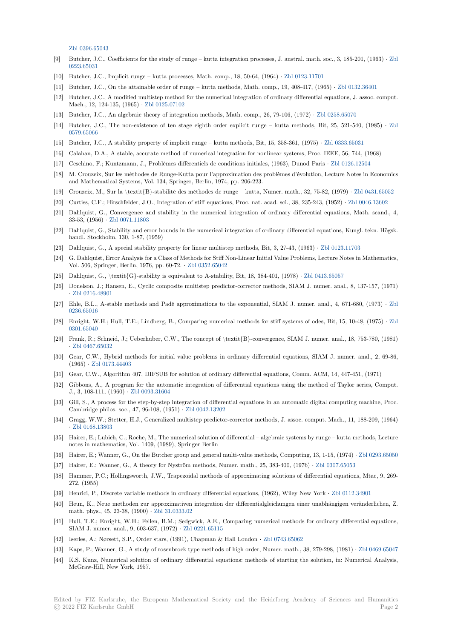Zbl 0396.65043

- [9] Butcher, J.C., Coefficients for the study of runge kutta integration processes, J. austral. math. soc., 3, 185-201, (1963) *·* Zbl 0223.65031
- [10] Butcher, J.C., Implicit runge kutta processes, Math. comp., 18, 50-64, (1964) *·* Zbl 0123.11701
- [11] [Butcher, J.C., O](https://zbmath.org/0396.65043)n the attainable order of runge kutta methods, Math. comp., 19, 408-417, (1965) *·* Zbl 0132.36401
- [12] Butcher, J.C., A modified multistep method for the numerical integration of ordinary differential equations, J. assoc. com[put.](https://zbmath.org/0223.65031) [Mach., 12,](https://zbmath.org/0223.65031) 124-135, (1965) *·* Zbl 0125.07102
- [13] Butcher, J.C., An algebraic theory of integration methods, Math. comp., 26, 79-[106, \(1972\)](https://zbmath.org/0123.11701) *·* Zbl 0258.65070
- [14] Butcher, J.C., The non-existence of ten stage eighth order explicit runge kutta methods, Bit, 25[, 521-540, \(1985](https://zbmath.org/0132.36401)) *·* Zbl 0579.65066
- [15] Butcher, J.C., A stability pr[operty of implic](https://zbmath.org/0125.07102)it runge kutta methods, Bit, 15, 358-361, (1975) *·* Zbl 0333.65031
- [16] Calahan, D.A., A stable, accurate method of numerical integration for nonlinear systems, Pr[oc. IEEE, 56, 74](https://zbmath.org/0258.65070)4, (1968)
- [17] Ceschino, F.; Kuntzmann, J., Problèmes différentiels de conditions initiales, (1963), Dunod Paris *·* Zbl 0126.12504
- [18] [M. Crouzei](https://zbmath.org/0579.65066)x, Sur les méthodes de Runge-Kutta pour l'approximation des problèmes d'évolution, [Lecture Notes i](https://zbmath.org/0333.65031)n Economics and Mathematical Systems, Vol. 134, Springer, Berlin, 1974, pp. 206-223.
- [19] Crouzeix, M., Sur la \textit{B}-stabilité des méthodes de runge kutta, Numer. math., 32, 75-82, (1979) *·* Zbl 0431.65052
- [20] Curtiss, C.F.; Hirschfelder, J.O., Integration of stiff equations, Proc. nat. acad. sci., 38, 235-243, (1952) *·* [Zbl 0046](https://zbmath.org/0126.12504).13602
- [21] Dahlquist, G., Convergence and stability in the numerical integration of ordinary differential equations, Math. scand., 4, 33-53, (1956) *·* Zbl 0071.11803
- [22] Dahlquist, G., Stability and error bounds in the numerical integration of ordinary differential equations, Ku[ngl. tekn. Högsk](https://zbmath.org/0431.65052). handl. Stockholm, 130, 1-87, (1959)
- [23] Dahlquist, G., A special stability property for linear multistep methods, Bit, 3, 27-43, (1963) *·* Zbl 0123.11703
- [24] G. Dahlquist, [Error Analysis fo](https://zbmath.org/0071.11803)r a Class of Methods for Stiff Non-Linear Initial Value Problems, Lecture Notes in Mathematics, Vol. 506, Springer, Berlin, 1976, pp. 60-72. *·* Zbl 0352.65042
- [25] Dahlquist, G., \textit{G}-stability is equivalent to A-stability, Bit, 18, 384-401, (1978) *·* Zbl 0413.65057
- [26] Donelson, J.; Hansen, E., Cyclic composite multistep predictor-corrector methods, SIAM J. nu[mer. anal., 8, 13](https://zbmath.org/0123.11703)7-157, (1971) *·* Zbl 0216.48901
- [27] Ehle, B.L., A-stable methods and Padé app[roximations to](https://zbmath.org/0352.65042) the exponential, SIAM J. numer. anal., 4, 671-680, (1973) *·* Zbl 0236.65016
- [28] Enright, W.H.; Hull, T.E.; Lindberg, B., Comparing numerical methods for stiff systems of odes, Bit, 15, 10-48, (1975) *·* Zbl 0[301.65040](https://zbmath.org/0216.48901)
- [29] Frank, R.; Schneid, J.; Ueberhuber, C.W., The concept of \textit{B}-convergence, SIAM J. numer. anal., 18, 753-780, (1[981\)](https://zbmath.org/0236.65016) *·* [Zbl 0467.6](https://zbmath.org/0236.65016)5032
- [30] Gear, C.W., Hybrid methods for initial value problems in ordinary differential equations, SIAM J. numer. anal., 2, 69[-86,](https://zbmath.org/0301.65040) [\(1965\)](https://zbmath.org/0301.65040) *·* Zbl 0173.44403
- [31] Gear, C.W., Algorithm 407, DIFSUB for solution of ordinary differential equations, Comm. ACM, 14, 447-451, (1971)
- [32] [Gibbons, A., A p](https://zbmath.org/0467.65032)rogram for the automatic integration of differential equations using the method of Taylor series, Comput. J., 3, 108-111, (1960) *·* Zbl 0093.31604
- [33] Gill, S., [A process for th](https://zbmath.org/0173.44403)e step-by-step integration of differential equations in an automatic digital computing machine, Proc. Cambridge philos. soc., 47, 96-108, (1951) *·* Zbl 0042.13202
- [34] Gragg, W.W.; Stetter, H.J., Generalized multistep predictor-corrector methods, J. assoc. comput. Mach., 11, 188-209, (1964) *·* Zbl 0168.13803
- [35] Hairer, E.; Lubich, C.; Roche, M., The numerical solution of differential algebraic systems by runge kutta methods, Lecture notes in mathematics, Vol. 1409, (1989), Sp[ringer Berlin](https://zbmath.org/0042.13202)
- [36] Hairer, E.; Wanner, G., On the Butcher group and general multi-value methods, Computing, 13, 1-15, (1974) *·* Zbl 0293.65050
- [37] [Hairer, E.; Wann](https://zbmath.org/0168.13803)er, G., A theory for Nyström methods, Numer. math., 25, 383-400, (1976) *·* Zbl 0307.65053
- [38] Hammer, P.C.; Hollingsworth, J.W., Trapezoidal methods of approximating solutions of differential equations, Mtac, 9, 269- 272, (1955)
- [39] Henrici, P., Discrete variable methods in ordinary differential equations, (1962), Wiley New York *·* Zbl 0112.[34901](https://zbmath.org/0293.65050)
- [40] Heun, K., Neue methoden zur approximativen integration der differentialgleichungen eineru[nabhängigen ve](https://zbmath.org/0307.65053)ränderlichen, Z. math. phys., 45, 23-38, (1900) *·* Zbl 31.0333.02
- [41] Hull, T.E.; Enright, W.H.; Fellen, B.M.; Sedgwick, A.E., Comparing numerical methods for ordinary differential equations, SIAM J. numer. anal., 9, 603-637, (1972) *·* Zbl 0221.65115
- [42] Iserles, A.; Nørsett, S.P., Order stars, (1991), Chapman & Hall London *·* Zbl 0743.65062
- [43] Kaps, P.; Wanner, G., A study [of rosenbrock ty](https://zbmath.org/31.0333.02)pe methods of high order, Numer. math., 38, 279-298, (1981) *·* Zbl 0469.65047
- [44] K.S. Kunz, Numerical solution of ordinary [differential equ](https://zbmath.org/0221.65115)ations: methods of starting the solution, in: Numerical Analysis, McGraw-Hill, New York, 1957.